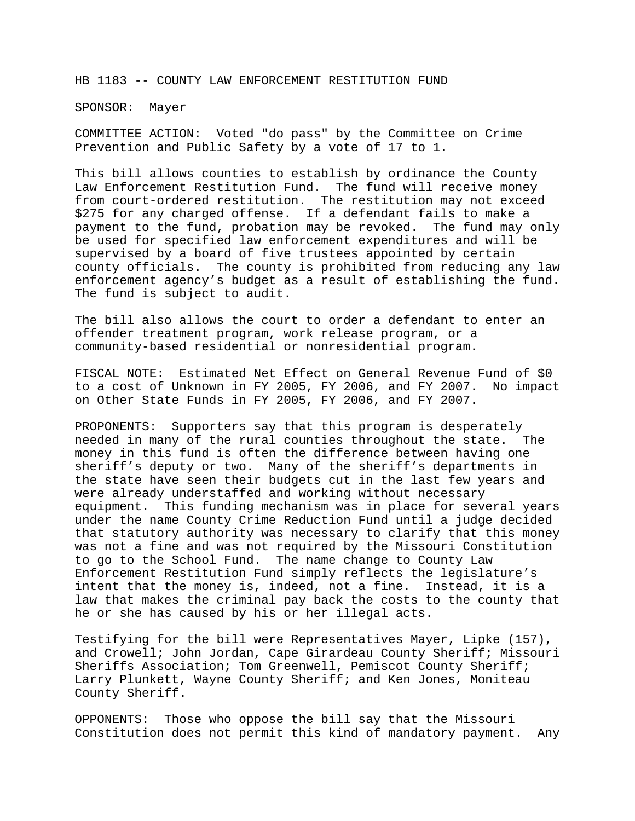HB 1183 -- COUNTY LAW ENFORCEMENT RESTITUTION FUND

SPONSOR: Mayer

COMMITTEE ACTION: Voted "do pass" by the Committee on Crime Prevention and Public Safety by a vote of 17 to 1.

This bill allows counties to establish by ordinance the County Law Enforcement Restitution Fund. The fund will receive money from court-ordered restitution. The restitution may not exceed \$275 for any charged offense. If a defendant fails to make a payment to the fund, probation may be revoked. The fund may only be used for specified law enforcement expenditures and will be supervised by a board of five trustees appointed by certain county officials. The county is prohibited from reducing any law enforcement agency's budget as a result of establishing the fund. The fund is subject to audit.

The bill also allows the court to order a defendant to enter an offender treatment program, work release program, or a community-based residential or nonresidential program.

FISCAL NOTE: Estimated Net Effect on General Revenue Fund of \$0 to a cost of Unknown in FY 2005, FY 2006, and FY 2007. No impact on Other State Funds in FY 2005, FY 2006, and FY 2007.

PROPONENTS: Supporters say that this program is desperately needed in many of the rural counties throughout the state. The money in this fund is often the difference between having one sheriff's deputy or two. Many of the sheriff's departments in the state have seen their budgets cut in the last few years and were already understaffed and working without necessary equipment. This funding mechanism was in place for several years under the name County Crime Reduction Fund until a judge decided that statutory authority was necessary to clarify that this money was not a fine and was not required by the Missouri Constitution to go to the School Fund. The name change to County Law Enforcement Restitution Fund simply reflects the legislature's intent that the money is, indeed, not a fine. Instead, it is a law that makes the criminal pay back the costs to the county that he or she has caused by his or her illegal acts.

Testifying for the bill were Representatives Mayer, Lipke (157), and Crowell; John Jordan, Cape Girardeau County Sheriff; Missouri Sheriffs Association; Tom Greenwell, Pemiscot County Sheriff; Larry Plunkett, Wayne County Sheriff; and Ken Jones, Moniteau County Sheriff.

OPPONENTS: Those who oppose the bill say that the Missouri Constitution does not permit this kind of mandatory payment. Any